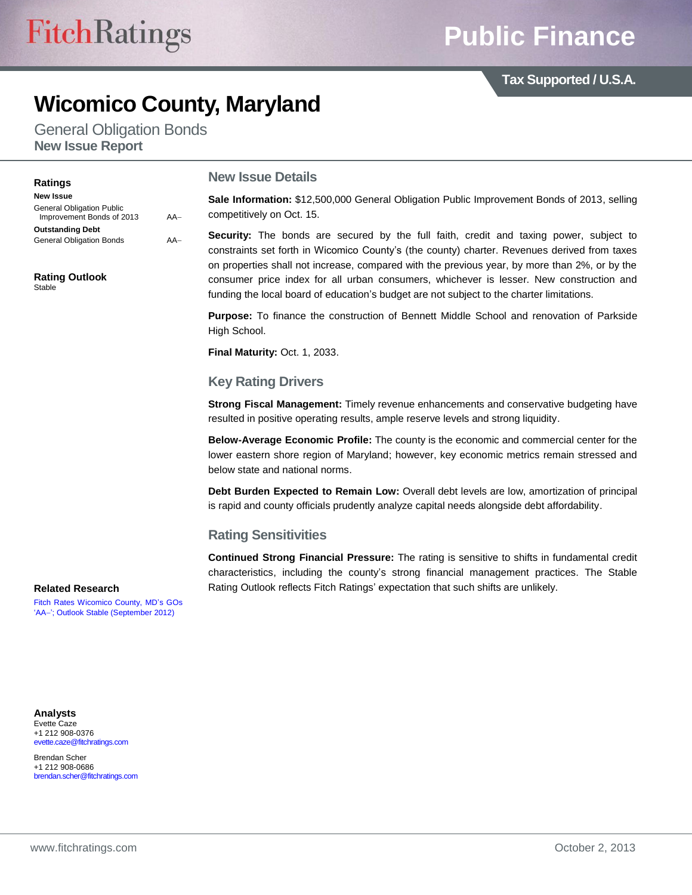# **Public Finance**

**Tax Supported / U.S.A.**

## **Wicomico County, Maryland**

General Obligation Bonds **New Issue Report**

#### **Ratings**

**New Issue** General Obligation Public Improvement Bonds of 2013 AA **Outstanding Debt** General Obligation Bonds AA-

**Rating Outlook** Stable

#### **New Issue Details**

**Sale Information:** \$12,500,000 General Obligation Public Improvement Bonds of 2013, selling competitively on Oct. 15.

**Security:** The bonds are secured by the full faith, credit and taxing power, subject to constraints set forth in Wicomico County"s (the county) charter. Revenues derived from taxes on properties shall not increase, compared with the previous year, by more than 2%, or by the consumer price index for all urban consumers, whichever is lesser. New construction and funding the local board of education"s budget are not subject to the charter limitations.

**Purpose:** To finance the construction of Bennett Middle School and renovation of Parkside High School.

**Final Maturity:** Oct. 1, 2033.

#### **Key Rating Drivers**

**Strong Fiscal Management:** Timely revenue enhancements and conservative budgeting have resulted in positive operating results, ample reserve levels and strong liquidity.

**Below-Average Economic Profile:** The county is the economic and commercial center for the lower eastern shore region of Maryland; however, key economic metrics remain stressed and below state and national norms.

**Debt Burden Expected to Remain Low:** Overall debt levels are low, amortization of principal is rapid and county officials prudently analyze capital needs alongside debt affordability.

#### **Rating Sensitivities**

**Continued Strong Financial Pressure:** The rating is sensitive to shifts in fundamental credit characteristics, including the county"s strong financial management practices. The Stable Rating Outlook reflects Fitch Ratings" expectation that such shifts are unlikely.

#### **Related Research**

[Fitch Rates Wicomico County, MD"s GOs](http://www.fitchratings.com/creditdesk/press_releases/detail.cfm?pr_id=803658)  'AA-'; Outlook Stable (September 2012)

**Analysts** Evette Caze +1 212 908-0376 evette.caze@fitchratings.com

Brendan Scher +1 212 908-0686 brendan.scher@fitchratings.com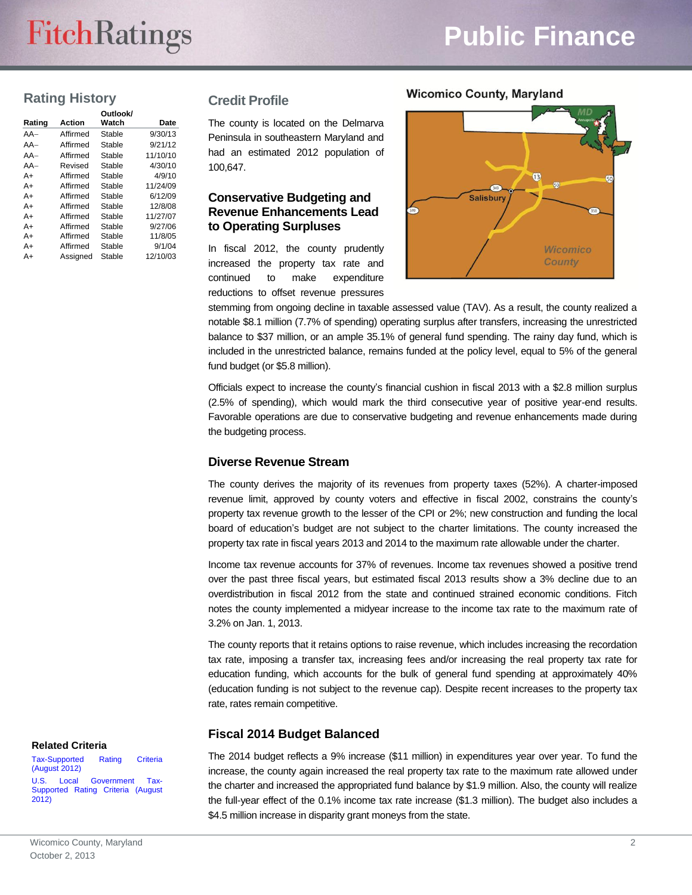# **FitchRatings**

# **Public Finance**

## **Rating History**

|        |          | Outlook/ |          |
|--------|----------|----------|----------|
| Rating | Action   | Watch    | Date     |
| $AA-$  | Affirmed | Stable   | 9/30/13  |
| $AA-$  | Affirmed | Stable   | 9/21/12  |
| $AA-$  | Affirmed | Stable   | 11/10/10 |
| $AA-$  | Revised  | Stable   | 4/30/10  |
| A+     | Affirmed | Stable   | 4/9/10   |
| A+     | Affirmed | Stable   | 11/24/09 |
| $A+$   | Affirmed | Stable   | 6/12/09  |
| A+     | Affirmed | Stable   | 12/8/08  |
| A+     | Affirmed | Stable   | 11/27/07 |
| $A+$   | Affirmed | Stable   | 9/27/06  |
| A+     | Affirmed | Stable   | 11/8/05  |
| A+     | Affirmed | Stable   | 9/1/04   |
| A+     | Assianed | Stable   | 12/10/03 |

#### **Credit Profile**

The county is located on the Delmarva Peninsula in southeastern Maryland and had an estimated 2012 population of 100,647.

#### **Conservative Budgeting and Revenue Enhancements Lead to Operating Surpluses**

In fiscal 2012, the county prudently increased the property tax rate and continued to make expenditure reductions to offset revenue pressures



stemming from ongoing decline in taxable assessed value (TAV). As a result, the county realized a notable \$8.1 million (7.7% of spending) operating surplus after transfers, increasing the unrestricted balance to \$37 million, or an ample 35.1% of general fund spending. The rainy day fund, which is included in the unrestricted balance, remains funded at the policy level, equal to 5% of the general fund budget (or \$5.8 million).

Officials expect to increase the county"s financial cushion in fiscal 2013 with a \$2.8 million surplus (2.5% of spending), which would mark the third consecutive year of positive year-end results. Favorable operations are due to conservative budgeting and revenue enhancements made during the budgeting process.

#### **Diverse Revenue Stream**

The county derives the majority of its revenues from property taxes (52%). A charter-imposed revenue limit, approved by county voters and effective in fiscal 2002, constrains the county"s property tax revenue growth to the lesser of the CPI or 2%; new construction and funding the local board of education"s budget are not subject to the charter limitations. The county increased the property tax rate in fiscal years 2013 and 2014 to the maximum rate allowable under the charter.

Income tax revenue accounts for 37% of revenues. Income tax revenues showed a positive trend over the past three fiscal years, but estimated fiscal 2013 results show a 3% decline due to an overdistribution in fiscal 2012 from the state and continued strained economic conditions. Fitch notes the county implemented a midyear increase to the income tax rate to the maximum rate of 3.2% on Jan. 1, 2013.

The county reports that it retains options to raise revenue, which includes increasing the recordation tax rate, imposing a transfer tax, increasing fees and/or increasing the real property tax rate for education funding, which accounts for the bulk of general fund spending at approximately 40% (education funding is not subject to the revenue cap). Despite recent increases to the property tax rate, rates remain competitive.

### **Fiscal 2014 Budget Balanced**

The 2014 budget reflects a 9% increase (\$11 million) in expenditures year over year. To fund the increase, the county again increased the real property tax rate to the maximum rate allowed under the charter and increased the appropriated fund balance by \$1.9 million. Also, the county will realize the full-year effect of the 0.1% income tax rate increase (\$1.3 million). The budget also includes a \$4.5 million increase in disparity grant moneys from the state.

#### **Related Criteria**

[Tax-Supported Rating Criteria](http://www.fitchratings.com/creditdesk/reports/report_frame.cfm?rpt_id=686015)  [\(August 2012\)](http://www.fitchratings.com/creditdesk/reports/report_frame.cfm?rpt_id=686015)

[U.S. Local Government Tax-](http://www.fitchratings.com/creditdesk/reports/report_frame.cfm?rpt_id=685314)[Supported Rating Criteria \(August](http://www.fitchratings.com/creditdesk/reports/report_frame.cfm?rpt_id=685314)  [2012\)](http://www.fitchratings.com/creditdesk/reports/report_frame.cfm?rpt_id=685314)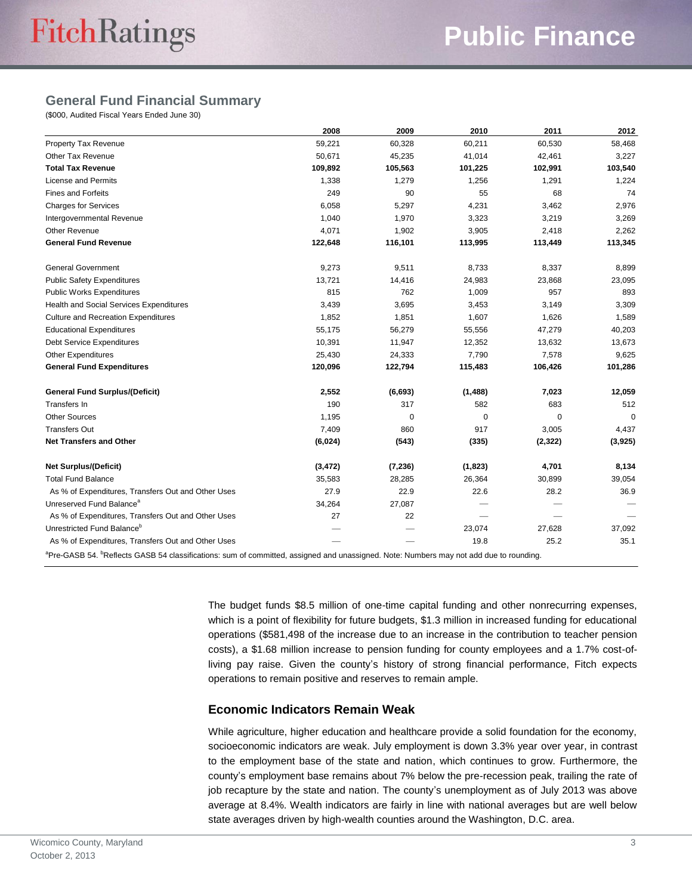## **General Fund Financial Summary**

(\$000, Audited Fiscal Years Ended June 30)

|                                                                                                                                                                | 2008     | 2009     | 2010     | 2011        | 2012    |
|----------------------------------------------------------------------------------------------------------------------------------------------------------------|----------|----------|----------|-------------|---------|
| <b>Property Tax Revenue</b>                                                                                                                                    | 59,221   | 60,328   | 60,211   | 60,530      | 58,468  |
| Other Tax Revenue                                                                                                                                              | 50,671   | 45,235   | 41,014   | 42,461      | 3,227   |
| <b>Total Tax Revenue</b>                                                                                                                                       | 109,892  | 105,563  | 101,225  | 102,991     | 103,540 |
| <b>License and Permits</b>                                                                                                                                     | 1,338    | 1,279    | 1,256    | 1,291       | 1,224   |
| <b>Fines and Forfeits</b>                                                                                                                                      | 249      | 90       | 55       | 68          | 74      |
| <b>Charges for Services</b>                                                                                                                                    | 6,058    | 5,297    | 4,231    | 3,462       | 2,976   |
| Intergovernmental Revenue                                                                                                                                      | 1,040    | 1,970    | 3,323    | 3,219       | 3,269   |
| <b>Other Revenue</b>                                                                                                                                           | 4,071    | 1,902    | 3,905    | 2,418       | 2,262   |
| <b>General Fund Revenue</b>                                                                                                                                    | 122,648  | 116,101  | 113,995  | 113,449     | 113,345 |
| <b>General Government</b>                                                                                                                                      | 9,273    | 9,511    | 8,733    | 8,337       | 8,899   |
| <b>Public Safety Expenditures</b>                                                                                                                              | 13,721   | 14,416   | 24,983   | 23,868      | 23,095  |
| <b>Public Works Expenditures</b>                                                                                                                               | 815      | 762      | 1,009    | 957         | 893     |
| Health and Social Services Expenditures                                                                                                                        | 3,439    | 3,695    | 3,453    | 3,149       | 3,309   |
| <b>Culture and Recreation Expenditures</b>                                                                                                                     | 1,852    | 1,851    | 1,607    | 1,626       | 1,589   |
| <b>Educational Expenditures</b>                                                                                                                                | 55,175   | 56,279   | 55,556   | 47,279      | 40,203  |
| <b>Debt Service Expenditures</b>                                                                                                                               | 10,391   | 11,947   | 12,352   | 13,632      | 13,673  |
| <b>Other Expenditures</b>                                                                                                                                      | 25,430   | 24,333   | 7,790    | 7,578       | 9,625   |
| <b>General Fund Expenditures</b>                                                                                                                               | 120,096  | 122,794  | 115,483  | 106,426     | 101,286 |
| <b>General Fund Surplus/(Deficit)</b>                                                                                                                          | 2,552    | (6, 693) | (1, 488) | 7,023       | 12,059  |
| Transfers In                                                                                                                                                   | 190      | 317      | 582      | 683         | 512     |
| <b>Other Sources</b>                                                                                                                                           | 1,195    | 0        | 0        | $\mathbf 0$ | 0       |
| <b>Transfers Out</b>                                                                                                                                           | 7,409    | 860      | 917      | 3,005       | 4,437   |
| <b>Net Transfers and Other</b>                                                                                                                                 | (6,024)  | (543)    | (335)    | (2,322)     | (3,925) |
| <b>Net Surplus/(Deficit)</b>                                                                                                                                   | (3, 472) | (7, 236) | (1,823)  | 4,701       | 8,134   |
| <b>Total Fund Balance</b>                                                                                                                                      | 35,583   | 28,285   | 26,364   | 30,899      | 39,054  |
| As % of Expenditures, Transfers Out and Other Uses                                                                                                             | 27.9     | 22.9     | 22.6     | 28.2        | 36.9    |
| Unreserved Fund Balance <sup>a</sup>                                                                                                                           | 34,264   | 27,087   |          |             |         |
| As % of Expenditures, Transfers Out and Other Uses                                                                                                             | 27       | 22       |          |             |         |
| Unrestricted Fund Balance <sup>b</sup>                                                                                                                         |          |          | 23,074   | 27,628      | 37,092  |
| As % of Expenditures, Transfers Out and Other Uses                                                                                                             |          |          | 19.8     | 25.2        | 35.1    |
| <sup>a</sup> Pre-GASB 54. <sup>b</sup> Reflects GASB 54 classifications: sum of committed, assigned and unassigned. Note: Numbers may not add due to rounding. |          |          |          |             |         |

The budget funds \$8.5 million of one-time capital funding and other nonrecurring expenses, which is a point of flexibility for future budgets, \$1.3 million in increased funding for educational operations (\$581,498 of the increase due to an increase in the contribution to teacher pension costs), a \$1.68 million increase to pension funding for county employees and a 1.7% cost-ofliving pay raise. Given the county"s history of strong financial performance, Fitch expects operations to remain positive and reserves to remain ample.

#### **Economic Indicators Remain Weak**

While agriculture, higher education and healthcare provide a solid foundation for the economy, socioeconomic indicators are weak. July employment is down 3.3% year over year, in contrast to the employment base of the state and nation, which continues to grow. Furthermore, the county"s employment base remains about 7% below the pre-recession peak, trailing the rate of job recapture by the state and nation. The county"s unemployment as of July 2013 was above average at 8.4%. Wealth indicators are fairly in line with national averages but are well below state averages driven by high-wealth counties around the Washington, D.C. area.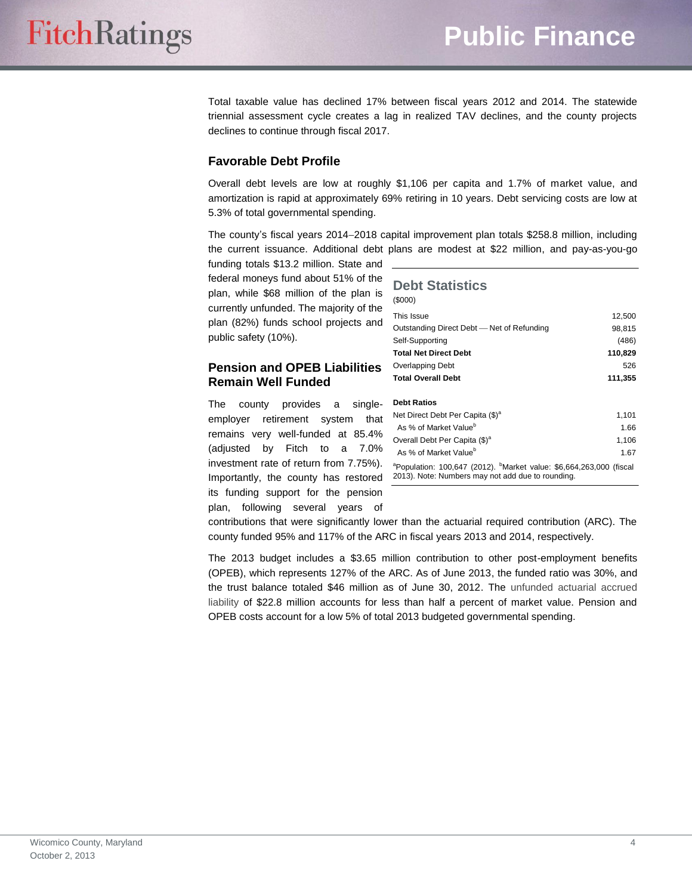Total taxable value has declined 17% between fiscal years 2012 and 2014. The statewide triennial assessment cycle creates a lag in realized TAV declines, and the county projects declines to continue through fiscal 2017.

#### **Favorable Debt Profile**

Overall debt levels are low at roughly \$1,106 per capita and 1.7% of market value, and amortization is rapid at approximately 69% retiring in 10 years. Debt servicing costs are low at 5.3% of total governmental spending.

The county's fiscal years 2014-2018 capital improvement plan totals \$258.8 million, including the current issuance. Additional debt plans are modest at \$22 million, and pay-as-you-go

funding totals \$13.2 million. State and federal moneys fund about 51% of the plan, while \$68 million of the plan is currently unfunded. The majority of the plan (82%) funds school projects and public safety (10%).

#### **Pension and OPEB Liabilities Remain Well Funded**

The county provides a singleemployer retirement system that remains very well-funded at 85.4% (adjusted by Fitch to a 7.0% investment rate of return from 7.75%). Importantly, the county has restored its funding support for the pension plan, following several years of

| <b>Debt Statistics</b><br>(0,00)                                                                                                    |         |  |  |  |
|-------------------------------------------------------------------------------------------------------------------------------------|---------|--|--|--|
| This Issue                                                                                                                          | 12,500  |  |  |  |
| Outstanding Direct Debt - Net of Refunding                                                                                          | 98,815  |  |  |  |
| Self-Supporting                                                                                                                     | (486)   |  |  |  |
| <b>Total Net Direct Debt</b>                                                                                                        | 110,829 |  |  |  |
| Overlapping Debt                                                                                                                    | 526     |  |  |  |
| <b>Total Overall Debt</b>                                                                                                           | 111,355 |  |  |  |
| <b>Debt Ratios</b>                                                                                                                  |         |  |  |  |
| Net Direct Debt Per Capita (\$) <sup>a</sup>                                                                                        | 1,101   |  |  |  |
| As % of Market Value <sup>b</sup>                                                                                                   | 1.66    |  |  |  |
| Overall Debt Per Capita (\$) <sup>a</sup>                                                                                           | 1,106   |  |  |  |
| As % of Market Value <sup>b</sup>                                                                                                   | 1.67    |  |  |  |
| <sup>a</sup> Population: 100,647 (2012). Market value: \$6,664,263,000 (fiscal<br>2013). Note: Numbers may not add due to rounding. |         |  |  |  |

contributions that were significantly lower than the actuarial required contribution (ARC). The county funded 95% and 117% of the ARC in fiscal years 2013 and 2014, respectively.

The 2013 budget includes a \$3.65 million contribution to other post-employment benefits (OPEB), which represents 127% of the ARC. As of June 2013, the funded ratio was 30%, and the trust balance totaled \$46 million as of June 30, 2012. The unfunded actuarial accrued liability of \$22.8 million accounts for less than half a percent of market value. Pension and OPEB costs account for a low 5% of total 2013 budgeted governmental spending.